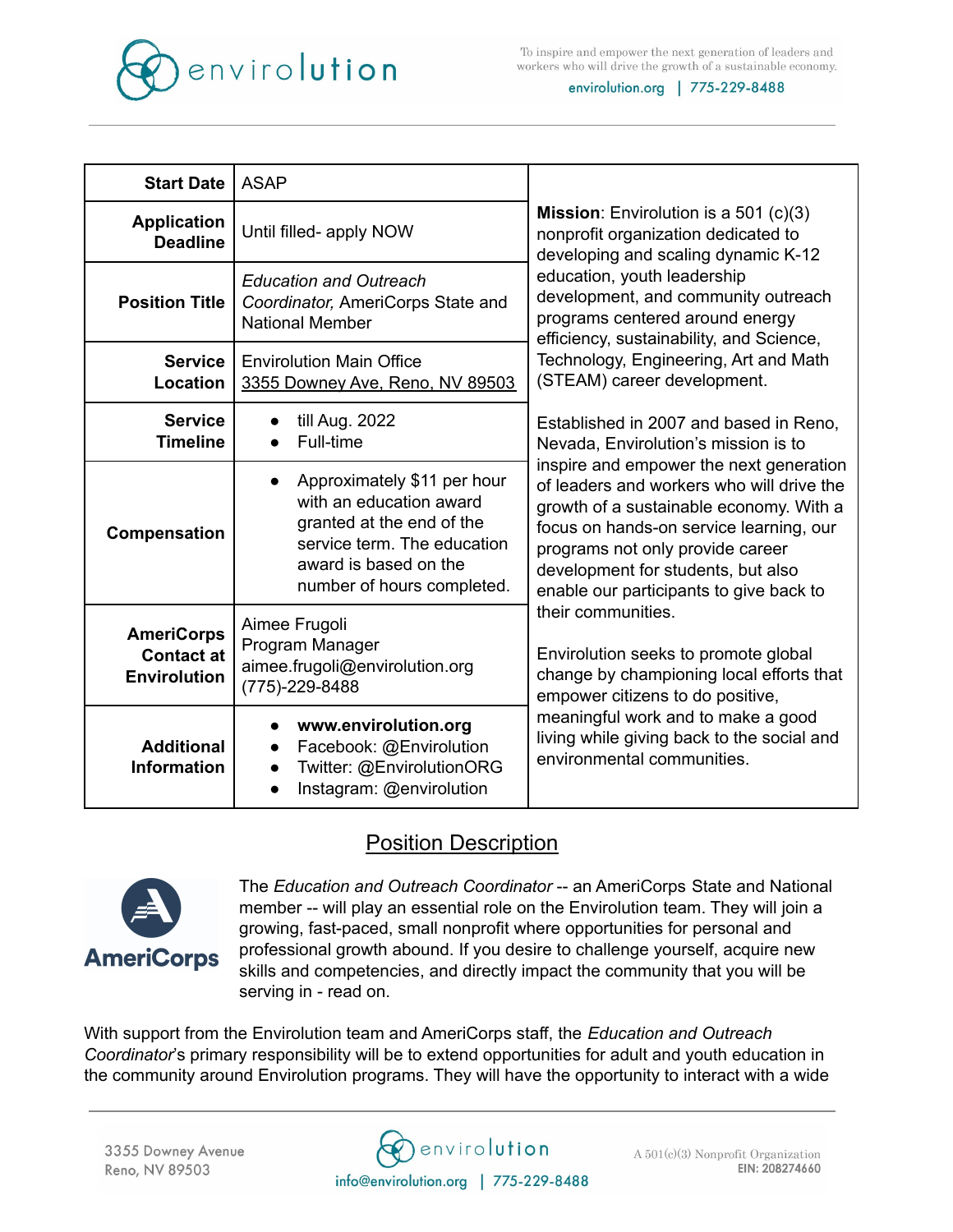

To inspire and empower the next generation of leaders and workers who will drive the growth of a sustainable economy.

envirolution.org | 775-229-8488

| <b>Start Date</b>                                             | <b>ASAP</b>                                                                                                                                                               | <b>Mission:</b> Envirolution is a 501 $(c)(3)$<br>nonprofit organization dedicated to<br>developing and scaling dynamic K-12<br>education, youth leadership<br>development, and community outreach<br>programs centered around energy<br>efficiency, sustainability, and Science,<br>Technology, Engineering, Art and Math<br>(STEAM) career development.<br>Established in 2007 and based in Reno,<br>Nevada, Envirolution's mission is to<br>inspire and empower the next generation<br>of leaders and workers who will drive the<br>growth of a sustainable economy. With a<br>focus on hands-on service learning, our<br>programs not only provide career<br>development for students, but also<br>enable our participants to give back to<br>their communities.<br>Envirolution seeks to promote global<br>change by championing local efforts that<br>empower citizens to do positive,<br>meaningful work and to make a good<br>living while giving back to the social and<br>environmental communities. |
|---------------------------------------------------------------|---------------------------------------------------------------------------------------------------------------------------------------------------------------------------|----------------------------------------------------------------------------------------------------------------------------------------------------------------------------------------------------------------------------------------------------------------------------------------------------------------------------------------------------------------------------------------------------------------------------------------------------------------------------------------------------------------------------------------------------------------------------------------------------------------------------------------------------------------------------------------------------------------------------------------------------------------------------------------------------------------------------------------------------------------------------------------------------------------------------------------------------------------------------------------------------------------|
| <b>Application</b><br><b>Deadline</b>                         | Until filled- apply NOW                                                                                                                                                   |                                                                                                                                                                                                                                                                                                                                                                                                                                                                                                                                                                                                                                                                                                                                                                                                                                                                                                                                                                                                                |
| <b>Position Title</b>                                         | <b>Education and Outreach</b><br>Coordinator, AmeriCorps State and<br><b>National Member</b>                                                                              |                                                                                                                                                                                                                                                                                                                                                                                                                                                                                                                                                                                                                                                                                                                                                                                                                                                                                                                                                                                                                |
| <b>Service</b><br>Location                                    | <b>Envirolution Main Office</b><br>3355 Downey Ave, Reno, NV 89503                                                                                                        |                                                                                                                                                                                                                                                                                                                                                                                                                                                                                                                                                                                                                                                                                                                                                                                                                                                                                                                                                                                                                |
| <b>Service</b><br><b>Timeline</b>                             | till Aug. 2022<br>Full-time                                                                                                                                               |                                                                                                                                                                                                                                                                                                                                                                                                                                                                                                                                                                                                                                                                                                                                                                                                                                                                                                                                                                                                                |
| Compensation                                                  | Approximately \$11 per hour<br>with an education award<br>granted at the end of the<br>service term. The education<br>award is based on the<br>number of hours completed. |                                                                                                                                                                                                                                                                                                                                                                                                                                                                                                                                                                                                                                                                                                                                                                                                                                                                                                                                                                                                                |
| <b>AmeriCorps</b><br><b>Contact at</b><br><b>Envirolution</b> | Aimee Frugoli<br>Program Manager<br>aimee.frugoli@envirolution.org<br>(775)-229-8488                                                                                      |                                                                                                                                                                                                                                                                                                                                                                                                                                                                                                                                                                                                                                                                                                                                                                                                                                                                                                                                                                                                                |
| <b>Additional</b><br><b>Information</b>                       | www.envirolution.org<br>Facebook: @Envirolution<br>Twitter: @EnvirolutionORG<br>Instagram: @envirolution                                                                  |                                                                                                                                                                                                                                                                                                                                                                                                                                                                                                                                                                                                                                                                                                                                                                                                                                                                                                                                                                                                                |

# Position Description



The *Education and Outreach Coordinator* -- an AmeriCorps State and National member -- will play an essential role on the Envirolution team. They will join a growing, fast-paced, small nonprofit where opportunities for personal and professional growth abound. If you desire to challenge yourself, acquire new skills and competencies, and directly impact the community that you will be serving in - read on.

With support from the Envirolution team and AmeriCorps staff, the *Education and Outreach Coordinator*'s primary responsibility will be to extend opportunities for adult and youth education in the community around Envirolution programs. They will have the opportunity to interact with a wide



 $A\ 501(c)(3)$  Nonprofit Organization EIN: 208274660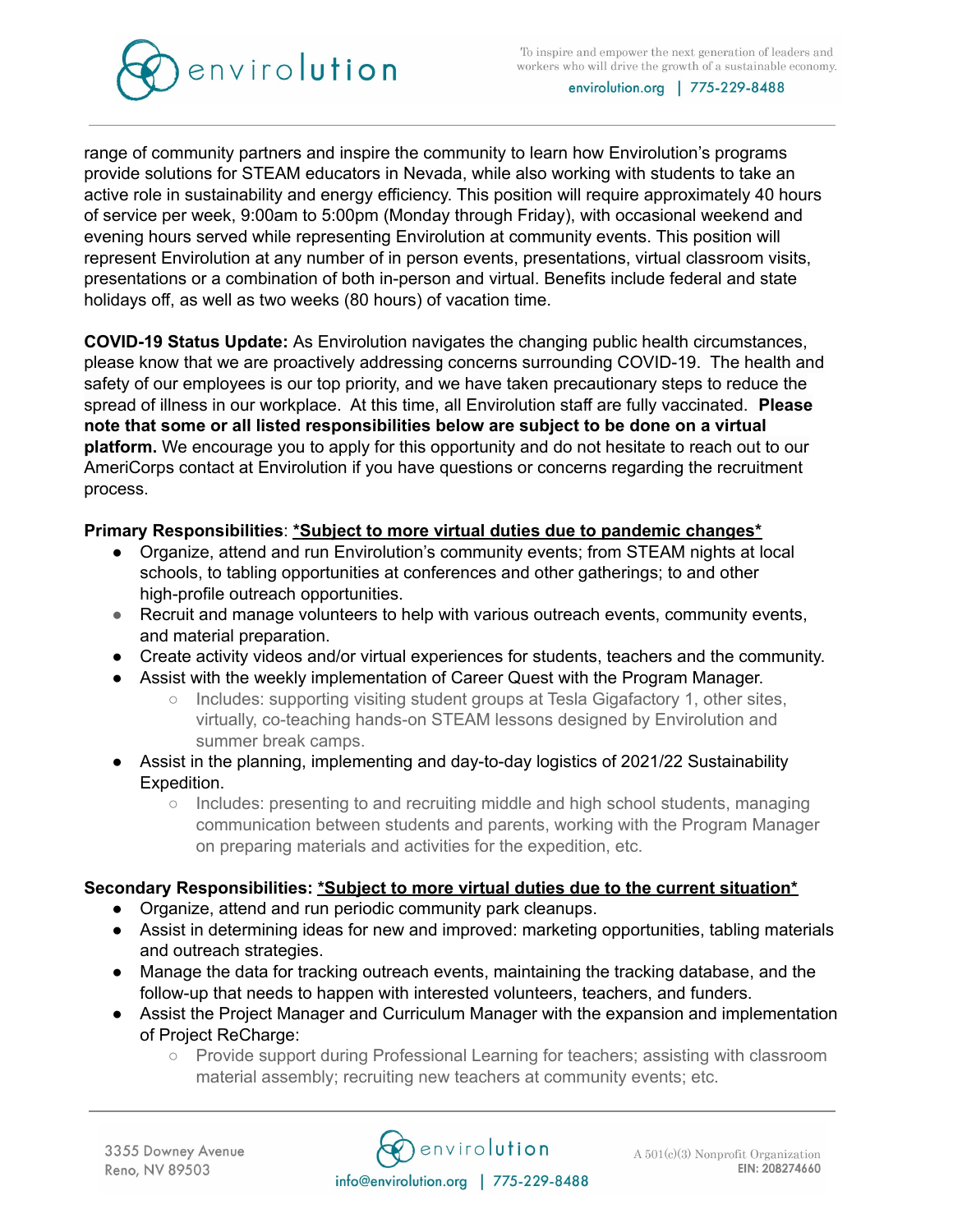

envirolution.org | 775-229-8488

range of community partners and inspire the community to learn how Envirolution's programs provide solutions for STEAM educators in Nevada, while also working with students to take an active role in sustainability and energy efficiency. This position will require approximately 40 hours of service per week, 9:00am to 5:00pm (Monday through Friday), with occasional weekend and evening hours served while representing Envirolution at community events. This position will represent Envirolution at any number of in person events, presentations, virtual classroom visits, presentations or a combination of both in-person and virtual. Benefits include federal and state holidays off, as well as two weeks (80 hours) of vacation time.

**COVID-19 Status Update:** As Envirolution navigates the changing public health circumstances, please know that we are proactively addressing concerns surrounding COVID-19. The health and safety of our employees is our top priority, and we have taken precautionary steps to reduce the spread of illness in our workplace. At this time, all Envirolution staff are fully vaccinated. **Please note that some or all listed responsibilities below are subject to be done on a virtual platform.** We encourage you to apply for this opportunity and do not hesitate to reach out to our AmeriCorps contact at Envirolution if you have questions or concerns regarding the recruitment process.

## **Primary Responsibilities**: **\*Subject to more virtual duties due to pandemic changes\***

- Organize, attend and run Envirolution's community events; from STEAM nights at local schools, to tabling opportunities at conferences and other gatherings; to and other high-profile outreach opportunities.
- Recruit and manage volunteers to help with various outreach events, community events, and material preparation.
- Create activity videos and/or virtual experiences for students, teachers and the community.
- Assist with the weekly implementation of Career Quest with the Program Manager.
	- Includes: supporting visiting student groups at Tesla Gigafactory 1, other sites, virtually, co-teaching hands-on STEAM lessons designed by Envirolution and summer break camps.
- Assist in the planning, implementing and day-to-day logistics of 2021/22 Sustainability Expedition.
	- Includes: presenting to and recruiting middle and high school students, managing communication between students and parents, working with the Program Manager on preparing materials and activities for the expedition, etc.

## **Secondary Responsibilities: \*Subject to more virtual duties due to the current situation\***

- Organize, attend and run periodic community park cleanups.
- Assist in determining ideas for new and improved: marketing opportunities, tabling materials and outreach strategies.
- Manage the data for tracking outreach events, maintaining the tracking database, and the follow-up that needs to happen with interested volunteers, teachers, and funders.
- Assist the Project Manager and Curriculum Manager with the expansion and implementation of Project ReCharge:
	- Provide support during Professional Learning for teachers; assisting with classroom material assembly; recruiting new teachers at community events; etc.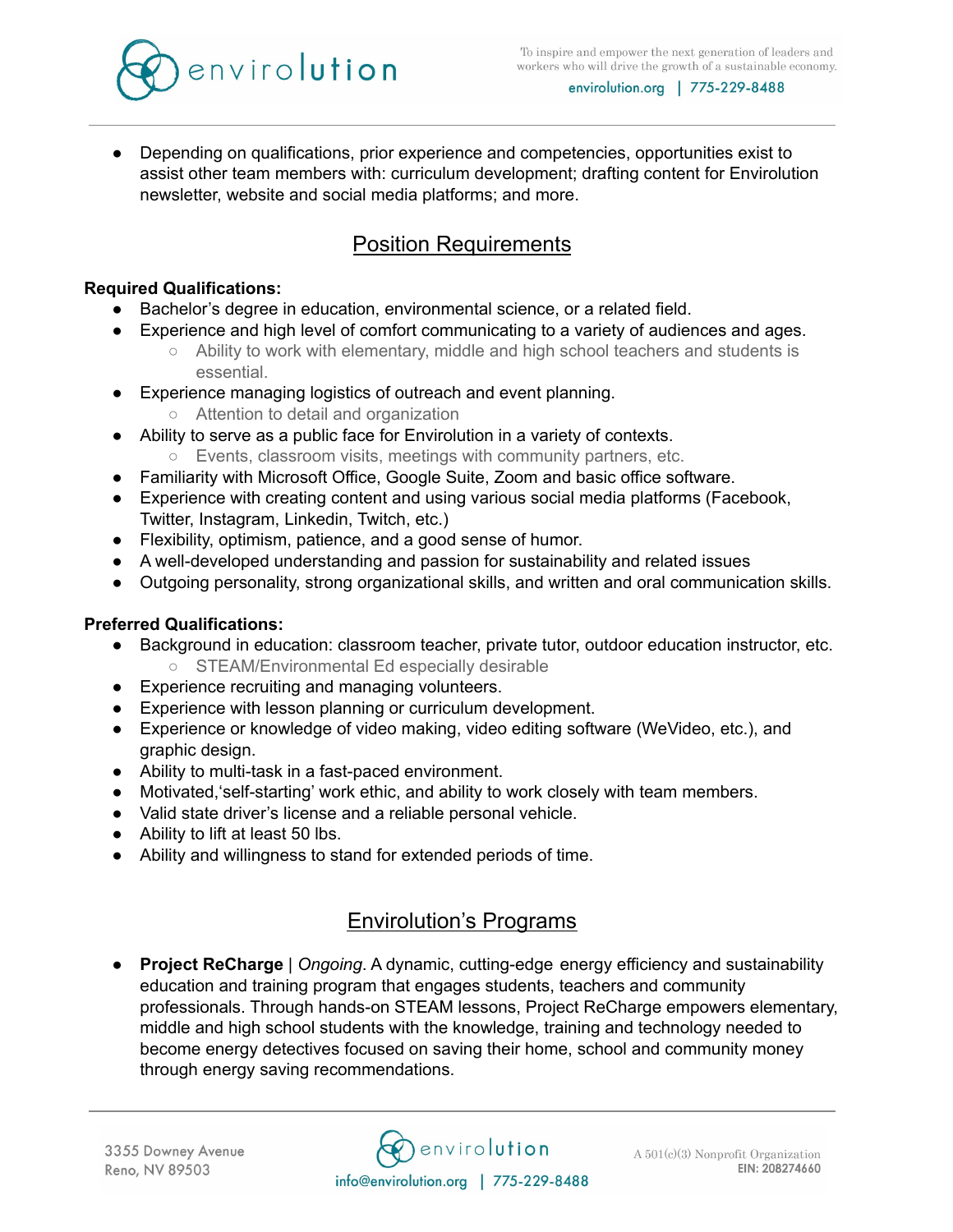

envirolution.org | 775-229-8488

● Depending on qualifications, prior experience and competencies, opportunities exist to assist other team members with: curriculum development; drafting content for Envirolution newsletter, website and social media platforms; and more.

# Position Requirements

### **Required Qualifications:**

- Bachelor's degree in education, environmental science, or a related field.
- Experience and high level of comfort communicating to a variety of audiences and ages.
	- Ability to work with elementary, middle and high school teachers and students is essential.
- Experience managing logistics of outreach and event planning.
	- Attention to detail and organization
- Ability to serve as a public face for Envirolution in a variety of contexts.
	- Events, classroom visits, meetings with community partners, etc.
- Familiarity with Microsoft Office, Google Suite, Zoom and basic office software.
- Experience with creating content and using various social media platforms (Facebook, Twitter, Instagram, Linkedin, Twitch, etc.)
- Flexibility, optimism, patience, and a good sense of humor.
- A well-developed understanding and passion for sustainability and related issues
- Outgoing personality, strong organizational skills, and written and oral communication skills.

### **Preferred Qualifications:**

- Background in education: classroom teacher, private tutor, outdoor education instructor, etc. ○ STEAM/Environmental Ed especially desirable
- Experience recruiting and managing volunteers.
- Experience with lesson planning or curriculum development.
- Experience or knowledge of video making, video editing software (WeVideo, etc.), and graphic design.
- Ability to multi-task in a fast-paced environment.
- Motivated,'self-starting' work ethic, and ability to work closely with team members.
- Valid state driver's license and a reliable personal vehicle.
- Ability to lift at least 50 lbs.
- Ability and willingness to stand for extended periods of time.

# Envirolution's Programs

**Project ReCharge** | *Ongoing*. A dynamic, cutting-edge energy efficiency and sustainability education and training program that engages students, teachers and community professionals. Through hands-on STEAM lessons, Project ReCharge empowers elementary, middle and high school students with the knowledge, training and technology needed to become energy detectives focused on saving their home, school and community money through energy saving recommendations.

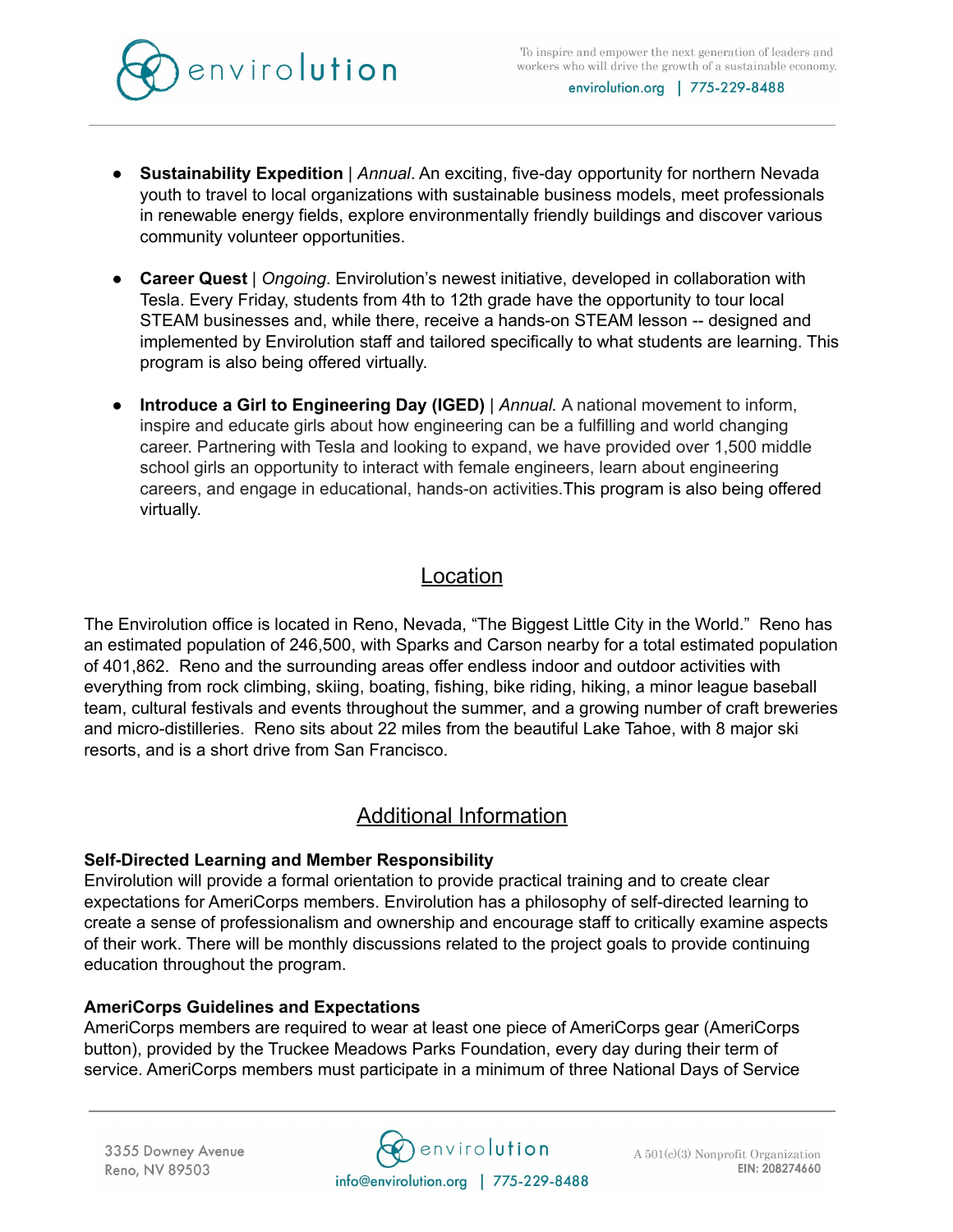



- **Sustainability Expedition** | *Annual*. An exciting, five-day opportunity for northern Nevada youth to travel to local organizations with sustainable business models, meet professionals in renewable energy fields, explore environmentally friendly buildings and discover various community volunteer opportunities.
- **Career Quest** | *Ongoing*. Envirolution's newest initiative, developed in collaboration with Tesla. Every Friday, students from 4th to 12th grade have the opportunity to tour local STEAM businesses and, while there, receive a hands-on STEAM lesson -- designed and implemented by Envirolution staff and tailored specifically to what students are learning. This program is also being offered virtually.
- **● Introduce a Girl to Engineering Day (IGED)** | *Annual.* A national movement to inform, inspire and educate girls about how engineering can be a fulfilling and world changing career. Partnering with Tesla and looking to expand, we have provided over 1,500 middle school girls an opportunity to interact with female engineers, learn about engineering careers, and engage in educational, hands-on activities.This program is also being offered virtually.

# Location

The Envirolution office is located in Reno, Nevada, "The Biggest Little City in the World." Reno has an estimated population of 246,500, with Sparks and Carson nearby for a total estimated population of 401,862. Reno and the surrounding areas offer endless indoor and outdoor activities with everything from rock climbing, skiing, boating, fishing, bike riding, hiking, a minor league baseball team, cultural festivals and events throughout the summer, and a growing number of craft breweries and micro-distilleries. Reno sits about 22 miles from the beautiful Lake Tahoe, with 8 major ski resorts, and is a short drive from San Francisco.

# Additional Information

### **Self-Directed Learning and Member Responsibility**

Envirolution will provide a formal orientation to provide practical training and to create clear expectations for AmeriCorps members. Envirolution has a philosophy of self-directed learning to create a sense of professionalism and ownership and encourage staff to critically examine aspects of their work. There will be monthly discussions related to the project goals to provide continuing education throughout the program.

### **AmeriCorps Guidelines and Expectations**

AmeriCorps members are required to wear at least one piece of AmeriCorps gear (AmeriCorps button), provided by the Truckee Meadows Parks Foundation, every day during their term of service. AmeriCorps members must participate in a minimum of three National Days of Service